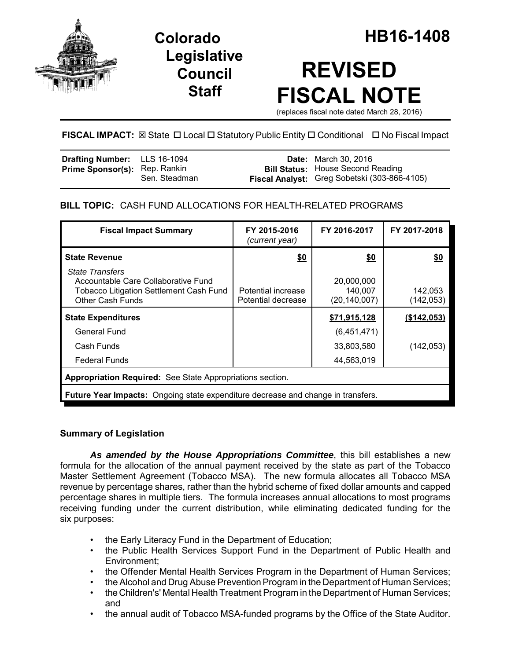

**Legislative Council Staff**

# **REVISED FISCAL NOTE**

(replaces fiscal note dated March 28, 2016)

## **FISCAL IMPACT:** ⊠ State □ Local □ Statutory Public Entity □ Conditional □ No Fiscal Impact

| <b>Drafting Number:</b> LLS 16-1094  |               | <b>Date:</b> March 30, 2016                                                              |
|--------------------------------------|---------------|------------------------------------------------------------------------------------------|
| <b>Prime Sponsor(s): Rep. Rankin</b> | Sen. Steadman | <b>Bill Status:</b> House Second Reading<br>Fiscal Analyst: Greg Sobetski (303-866-4105) |

### **BILL TOPIC:** CASH FUND ALLOCATIONS FOR HEALTH-RELATED PROGRAMS

| <b>Fiscal Impact Summary</b>                                                                                                               | FY 2015-2016<br>(current year)           | FY 2016-2017                            | FY 2017-2018          |  |  |  |
|--------------------------------------------------------------------------------------------------------------------------------------------|------------------------------------------|-----------------------------------------|-----------------------|--|--|--|
| <b>State Revenue</b>                                                                                                                       | <u>\$0</u>                               | \$0                                     | \$0                   |  |  |  |
| <b>State Transfers</b><br>Accountable Care Collaborative Fund<br><b>Tobacco Litigation Settlement Cash Fund</b><br><b>Other Cash Funds</b> | Potential increase<br>Potential decrease | 20,000,000<br>140,007<br>(20, 140, 007) | 142,053<br>(142, 053) |  |  |  |
| <b>State Expenditures</b>                                                                                                                  |                                          | \$71,915,128                            | (\$142,053)           |  |  |  |
| General Fund                                                                                                                               |                                          | (6,451,471)                             |                       |  |  |  |
| Cash Funds                                                                                                                                 |                                          | 33,803,580                              | (142, 053)            |  |  |  |
| <b>Federal Funds</b>                                                                                                                       |                                          | 44,563,019                              |                       |  |  |  |
| Appropriation Required: See State Appropriations section.                                                                                  |                                          |                                         |                       |  |  |  |
| <b>Future Year Impacts:</b> Ongoing state expenditure decrease and change in transfers.                                                    |                                          |                                         |                       |  |  |  |

#### **Summary of Legislation**

*As amended by the House Appropriations Committee*, this bill establishes a new formula for the allocation of the annual payment received by the state as part of the Tobacco Master Settlement Agreement (Tobacco MSA). The new formula allocates all Tobacco MSA revenue by percentage shares, rather than the hybrid scheme of fixed dollar amounts and capped percentage shares in multiple tiers. The formula increases annual allocations to most programs receiving funding under the current distribution, while eliminating dedicated funding for the six purposes:

- the Early Literacy Fund in the Department of Education;
- the Public Health Services Support Fund in the Department of Public Health and Environment;
- the Offender Mental Health Services Program in the Department of Human Services;
- the Alcohol and Drug Abuse Prevention Program in the Department of Human Services;
- the Children's' Mental Health Treatment Program in the Department of Human Services; and
- the annual audit of Tobacco MSA-funded programs by the Office of the State Auditor.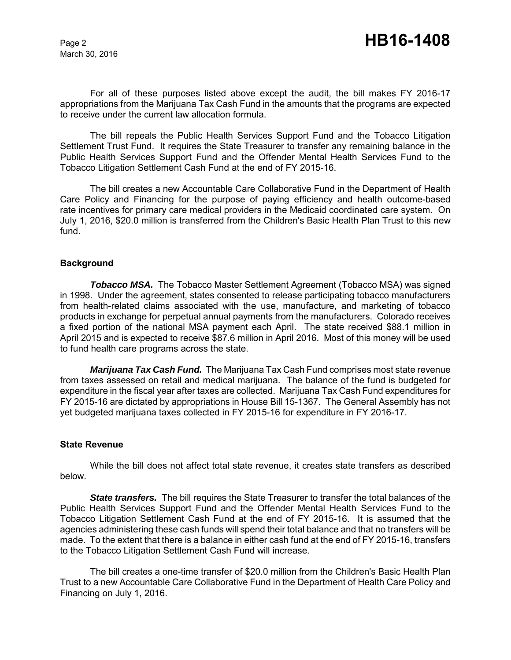For all of these purposes listed above except the audit, the bill makes FY 2016-17 appropriations from the Marijuana Tax Cash Fund in the amounts that the programs are expected to receive under the current law allocation formula.

The bill repeals the Public Health Services Support Fund and the Tobacco Litigation Settlement Trust Fund. It requires the State Treasurer to transfer any remaining balance in the Public Health Services Support Fund and the Offender Mental Health Services Fund to the Tobacco Litigation Settlement Cash Fund at the end of FY 2015-16.

The bill creates a new Accountable Care Collaborative Fund in the Department of Health Care Policy and Financing for the purpose of paying efficiency and health outcome-based rate incentives for primary care medical providers in the Medicaid coordinated care system. On July 1, 2016, \$20.0 million is transferred from the Children's Basic Health Plan Trust to this new fund.

#### **Background**

*Tobacco MSA.* The Tobacco Master Settlement Agreement (Tobacco MSA) was signed in 1998. Under the agreement, states consented to release participating tobacco manufacturers from health-related claims associated with the use, manufacture, and marketing of tobacco products in exchange for perpetual annual payments from the manufacturers. Colorado receives a fixed portion of the national MSA payment each April. The state received \$88.1 million in April 2015 and is expected to receive \$87.6 million in April 2016. Most of this money will be used to fund health care programs across the state.

*Marijuana Tax Cash Fund.* The Marijuana Tax Cash Fund comprises most state revenue from taxes assessed on retail and medical marijuana. The balance of the fund is budgeted for expenditure in the fiscal year after taxes are collected. Marijuana Tax Cash Fund expenditures for FY 2015-16 are dictated by appropriations in House Bill 15-1367. The General Assembly has not yet budgeted marijuana taxes collected in FY 2015-16 for expenditure in FY 2016-17.

#### **State Revenue**

While the bill does not affect total state revenue, it creates state transfers as described below.

*State transfers.* The bill requires the State Treasurer to transfer the total balances of the Public Health Services Support Fund and the Offender Mental Health Services Fund to the Tobacco Litigation Settlement Cash Fund at the end of FY 2015-16. It is assumed that the agencies administering these cash funds will spend their total balance and that no transfers will be made. To the extent that there is a balance in either cash fund at the end of FY 2015-16, transfers to the Tobacco Litigation Settlement Cash Fund will increase.

The bill creates a one-time transfer of \$20.0 million from the Children's Basic Health Plan Trust to a new Accountable Care Collaborative Fund in the Department of Health Care Policy and Financing on July 1, 2016.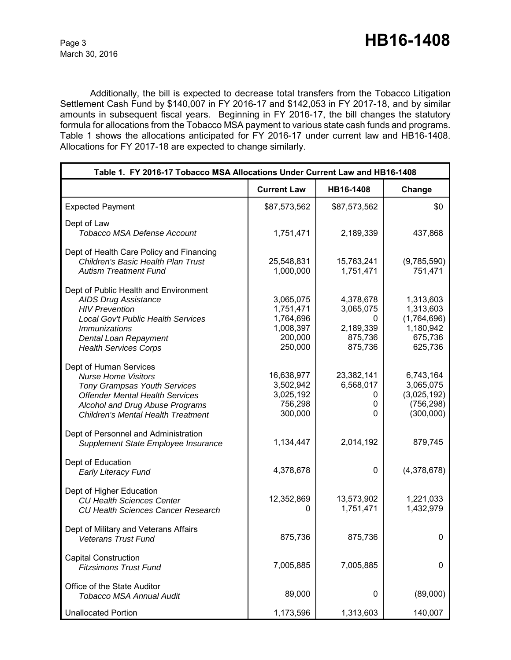Additionally, the bill is expected to decrease total transfers from the Tobacco Litigation Settlement Cash Fund by \$140,007 in FY 2016-17 and \$142,053 in FY 2017-18, and by similar amounts in subsequent fiscal years. Beginning in FY 2016-17, the bill changes the statutory formula for allocations from the Tobacco MSA payment to various state cash funds and programs. Table 1 shows the allocations anticipated for FY 2016-17 under current law and HB16-1408. Allocations for FY 2017-18 are expected to change similarly.

| Table 1. FY 2016-17 Tobacco MSA Allocations Under Current Law and HB16-1408                                                                                                                                           |                                                                        |                                                                |                                                                          |  |
|-----------------------------------------------------------------------------------------------------------------------------------------------------------------------------------------------------------------------|------------------------------------------------------------------------|----------------------------------------------------------------|--------------------------------------------------------------------------|--|
|                                                                                                                                                                                                                       | <b>Current Law</b>                                                     | HB16-1408                                                      | Change                                                                   |  |
| <b>Expected Payment</b>                                                                                                                                                                                               | \$87,573,562                                                           | \$87,573,562                                                   | \$0                                                                      |  |
| Dept of Law<br><b>Tobacco MSA Defense Account</b>                                                                                                                                                                     | 1,751,471                                                              | 2,189,339                                                      | 437,868                                                                  |  |
| Dept of Health Care Policy and Financing<br><b>Children's Basic Health Plan Trust</b><br><b>Autism Treatment Fund</b>                                                                                                 | 25,548,831<br>1,000,000                                                | 15,763,241<br>1,751,471                                        | (9,785,590)<br>751,471                                                   |  |
| Dept of Public Health and Environment<br><b>AIDS Drug Assistance</b><br><b>HIV Prevention</b><br>Local Gov't Public Health Services<br><i>Immunizations</i><br>Dental Loan Repayment<br><b>Health Services Corps</b>  | 3,065,075<br>1,751,471<br>1,764,696<br>1,008,397<br>200,000<br>250,000 | 4,378,678<br>3,065,075<br>0<br>2,189,339<br>875,736<br>875,736 | 1,313,603<br>1,313,603<br>(1,764,696)<br>1,180,942<br>675,736<br>625,736 |  |
| Dept of Human Services<br><b>Nurse Home Visitors</b><br><b>Tony Grampsas Youth Services</b><br><b>Offender Mental Health Services</b><br>Alcohol and Drug Abuse Programs<br><b>Children's Mental Health Treatment</b> | 16,638,977<br>3,502,942<br>3,025,192<br>756,298<br>300,000             | 23,382,141<br>6,568,017<br>0<br>0<br>$\mathbf{0}$              | 6,743,164<br>3,065,075<br>(3,025,192)<br>(756, 298)<br>(300,000)         |  |
| Dept of Personnel and Administration<br>Supplement State Employee Insurance                                                                                                                                           | 1,134,447                                                              | 2,014,192                                                      | 879,745                                                                  |  |
| Dept of Education<br><b>Early Literacy Fund</b>                                                                                                                                                                       | 4,378,678                                                              | 0                                                              | (4,378,678)                                                              |  |
| Dept of Higher Education<br><b>CU Health Sciences Center</b><br><b>CU Health Sciences Cancer Research</b>                                                                                                             | 12,352,869<br>0                                                        | 13,573,902<br>1,751,471                                        | 1,221,033<br>1,432,979                                                   |  |
| Dept of Military and Veterans Affairs<br><b>Veterans Trust Fund</b>                                                                                                                                                   | 875,736                                                                | 875,736                                                        | 0                                                                        |  |
| <b>Capital Construction</b><br><b>Fitzsimons Trust Fund</b>                                                                                                                                                           | 7,005,885                                                              | 7,005,885                                                      | 0                                                                        |  |
| Office of the State Auditor<br>Tobacco MSA Annual Audit                                                                                                                                                               | 89,000                                                                 | 0                                                              | (89,000)                                                                 |  |
| <b>Unallocated Portion</b>                                                                                                                                                                                            | 1,173,596                                                              | 1,313,603                                                      | 140,007                                                                  |  |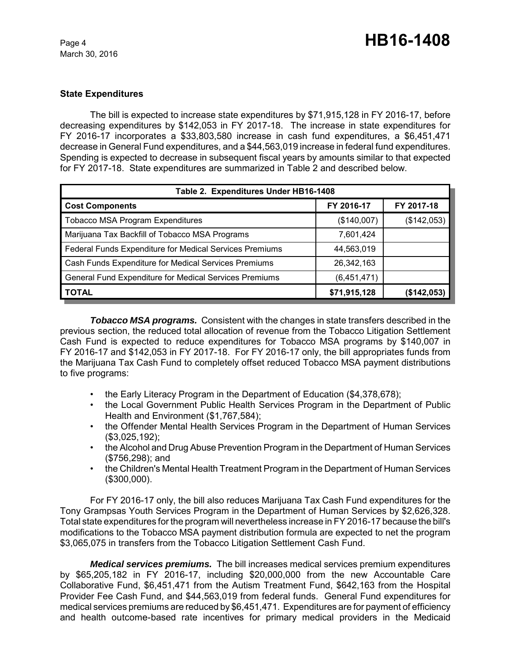#### **State Expenditures**

The bill is expected to increase state expenditures by \$71,915,128 in FY 2016-17, before decreasing expenditures by \$142,053 in FY 2017-18. The increase in state expenditures for FY 2016-17 incorporates a \$33,803,580 increase in cash fund expenditures, a \$6,451,471 decrease in General Fund expenditures, and a \$44,563,019 increase in federal fund expenditures. Spending is expected to decrease in subsequent fiscal years by amounts similar to that expected for FY 2017-18. State expenditures are summarized in Table 2 and described below.

| Table 2. Expenditures Under HB16-1408                   |              |             |  |  |  |
|---------------------------------------------------------|--------------|-------------|--|--|--|
| <b>Cost Components</b>                                  | FY 2016-17   | FY 2017-18  |  |  |  |
| <b>Tobacco MSA Program Expenditures</b>                 | (\$140,007)  | (\$142,053) |  |  |  |
| Marijuana Tax Backfill of Tobacco MSA Programs          | 7,601,424    |             |  |  |  |
| Federal Funds Expenditure for Medical Services Premiums | 44,563,019   |             |  |  |  |
| Cash Funds Expenditure for Medical Services Premiums    | 26,342,163   |             |  |  |  |
| General Fund Expenditure for Medical Services Premiums  | (6,451,471)  |             |  |  |  |
| <b>TOTAL</b>                                            | \$71,915,128 | (\$142,053) |  |  |  |

*Tobacco MSA programs.* Consistent with the changes in state transfers described in the previous section, the reduced total allocation of revenue from the Tobacco Litigation Settlement Cash Fund is expected to reduce expenditures for Tobacco MSA programs by \$140,007 in FY 2016-17 and \$142,053 in FY 2017-18. For FY 2016-17 only, the bill appropriates funds from the Marijuana Tax Cash Fund to completely offset reduced Tobacco MSA payment distributions to five programs:

- the Early Literacy Program in the Department of Education (\$4,378,678);
- the Local Government Public Health Services Program in the Department of Public Health and Environment (\$1,767,584);
- the Offender Mental Health Services Program in the Department of Human Services (\$3,025,192);
- the Alcohol and Drug Abuse Prevention Program in the Department of Human Services (\$756,298); and
- the Children's Mental Health Treatment Program in the Department of Human Services (\$300,000).

For FY 2016-17 only, the bill also reduces Marijuana Tax Cash Fund expenditures for the Tony Grampsas Youth Services Program in the Department of Human Services by \$2,626,328. Total state expenditures for the program will nevertheless increase in FY 2016-17 because the bill's modifications to the Tobacco MSA payment distribution formula are expected to net the program \$3,065,075 in transfers from the Tobacco Litigation Settlement Cash Fund.

*Medical services premiums.* The bill increases medical services premium expenditures by \$65,205,182 in FY 2016-17, including \$20,000,000 from the new Accountable Care Collaborative Fund, \$6,451,471 from the Autism Treatment Fund, \$642,163 from the Hospital Provider Fee Cash Fund, and \$44,563,019 from federal funds. General Fund expenditures for medical services premiums are reduced by \$6,451,471. Expenditures are for payment of efficiency and health outcome-based rate incentives for primary medical providers in the Medicaid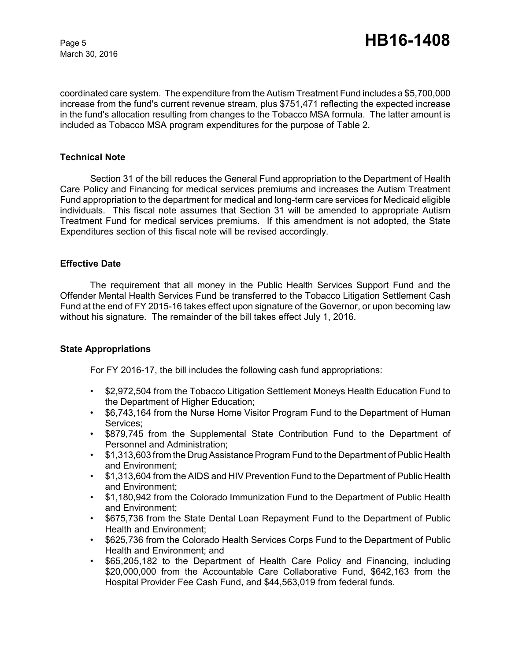coordinated care system. The expenditure from the Autism Treatment Fund includes a \$5,700,000 increase from the fund's current revenue stream, plus \$751,471 reflecting the expected increase in the fund's allocation resulting from changes to the Tobacco MSA formula. The latter amount is included as Tobacco MSA program expenditures for the purpose of Table 2.

#### **Technical Note**

Section 31 of the bill reduces the General Fund appropriation to the Department of Health Care Policy and Financing for medical services premiums and increases the Autism Treatment Fund appropriation to the department for medical and long-term care services for Medicaid eligible individuals. This fiscal note assumes that Section 31 will be amended to appropriate Autism Treatment Fund for medical services premiums. If this amendment is not adopted, the State Expenditures section of this fiscal note will be revised accordingly.

#### **Effective Date**

The requirement that all money in the Public Health Services Support Fund and the Offender Mental Health Services Fund be transferred to the Tobacco Litigation Settlement Cash Fund at the end of FY 2015-16 takes effect upon signature of the Governor, or upon becoming law without his signature. The remainder of the bill takes effect July 1, 2016.

#### **State Appropriations**

For FY 2016-17, the bill includes the following cash fund appropriations:

- \$2,972,504 from the Tobacco Litigation Settlement Moneys Health Education Fund to the Department of Higher Education;
- \$6,743,164 from the Nurse Home Visitor Program Fund to the Department of Human Services;
- \$879,745 from the Supplemental State Contribution Fund to the Department of Personnel and Administration;
- \$1,313,603 from the Drug Assistance Program Fund to the Department of Public Health and Environment;
- \$1,313,604 from the AIDS and HIV Prevention Fund to the Department of Public Health and Environment;
- \$1,180,942 from the Colorado Immunization Fund to the Department of Public Health and Environment;
- \$675,736 from the State Dental Loan Repayment Fund to the Department of Public Health and Environment;
- \$625,736 from the Colorado Health Services Corps Fund to the Department of Public Health and Environment; and
- \$65,205,182 to the Department of Health Care Policy and Financing, including \$20,000,000 from the Accountable Care Collaborative Fund, \$642,163 from the Hospital Provider Fee Cash Fund, and \$44,563,019 from federal funds.